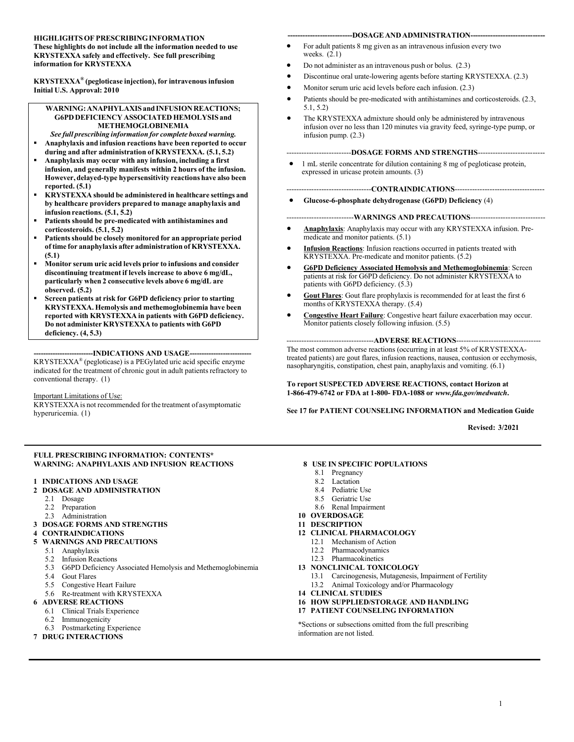#### HIGHLIGHTS OF PRESCRIBING INFORMATION

These highlights do not include all the information needed to use KRYSTEXXA safely and effectively. See full prescribing information for KRYSTEXXA

KRYSTEXXA® (pegloticase injection), for intravenous infusion Initial U.S. Approval: 2010

#### WARNING: ANAPHYLAXIS and INFUSION REACTIONS; G6PD DEFICIENCY ASSOCIATED HEMOLYSIS and METHEMOGLOBINEMIA

- See full prescribing information for complete boxed warning. Anaphylaxis and infusion reactions have been reported to occur during and after administration of KRYSTEXXA. (5.1, 5.2)
- Anaphylaxis may occur with any infusion, including a first infusion, and generally manifests within 2 hours of the infusion. However, delayed-type hypersensitivity reactions have also been reported. (5.1)
- KRYSTEXXA should be administered in healthcare settings and by healthcare providers prepared to manage anaphylaxis and infusion reactions. (5.1, 5.2)
- Patients should be pre-medicated with antihistamines and corticosteroids. (5.1, 5.2)
- Patients should be closely monitored for an appropriate period of time for anaphylaxis after administration of KRYSTEXXA. (5.1)
- Monitor serum uric acid levels prior to infusions and consider discontinuing treatment if levels increase to above 6 mg/dL, particularly when 2 consecutive levels above 6 mg/dL are observed. (5.2)
- Screen patients at risk for G6PD deficiency prior to starting KRYSTEXXA. Hemolysis and methemoglobinemia have been reported with KRYSTEXXA in patients with G6PD deficiency. Do not administer KRYSTEXXA to patients with G6PD deficiency. (4, 5.3)

-----INDICATIONS AND USAGE----

KRYSTEXXA® (pegloticase) is a PEGylated uric acid specific enzyme indicated for the treatment of chronic gout in adult patients refractory to conventional therapy. (1)

Important Limitations of Use:

KRYSTEXXA is not recommended for the treatment of asymptomatic hyperuricemia. (1)

#### FULL PRESCRIBING INFORMATION: CONTENTS\* WARNING: ANAPHYLAXIS AND INFUSION REACTIONS

#### 1 INDICATIONS AND USAGE

- 2 DOSAGE AND ADMINISTRATION
	- 2.1 Dosage
	- 2.2 Preparation
	- 2.3 Administration
- 3 DOSAGE FORMS AND STRENGTHS
- 4 CONTRAINDICATIONS
- 5 WARNINGS AND PRECAUTIONS
	- 5.1 Anaphylaxis
	- 5.2 Infusion Reactions
	- 5.3 G6PD Deficiency Associated Hemolysis and Methemoglobinemia
	- 5.4 Gout Flares
	- 5.5 Congestive Heart Failure
	- 5.6 Re-treatment with KRYSTEXXA

#### 6 ADVERSE REACTIONS

- 6.1 Clinical Trials Experience
- 6.2 Immunogenicity
- 6.3 Postmarketing Experience
- 7 DRUG INTERACTIONS

#### -DOSAGE AND ADMINISTRATION-

- For adult patients 8 mg given as an intravenous infusion every two weeks.  $(2.1)$
- Do not administer as an intravenous push or bolus. (2.3)
- Discontinue oral urate-lowering agents before starting KRYSTEXXA. (2.3)
- Monitor serum uric acid levels before each infusion. (2.3)
- Patients should be pre-medicated with antihistamines and corticosteroids. (2.3, 5.1, 5.2)
- The KRYSTEXXA admixture should only be administered by intravenous infusion over no less than 120 minutes via gravity feed, syringe-type pump, or infusion pump. (2.3)

#### -----------DOSAGE FORMS AND STRENGTHS------------------

 1 mL sterile concentrate for dilution containing 8 mg of pegloticase protein, expressed in uricase protein amounts. (3)

#### --------------------CONTRAINDICATIONS-------------

Glucose-6-phosphate dehydrogenase (G6PD) Deficiency (4)

#### ---------------------------WARNINGS AND PRECAUTIONS------------------------------

- Anaphylaxis: Anaphylaxis may occur with any KRYSTEXXA infusion. Premedicate and monitor patients. (5.1)
- **Infusion Reactions:** Infusion reactions occurred in patients treated with KRYSTEXXA. Pre-medicate and monitor patients. (5.2)
- G6PD Deficiency Associated Hemolysis and Methemoglobinemia: Screen patients at risk for G6PD deficiency. Do not administer KRYSTEXXA to patients with G6PD deficiency. (5.3)
- Gout Flares: Gout flare prophylaxis is recommended for at least the first 6 months of KRYSTEXXA therapy. (5.4)
- **Congestive Heart Failure:** Congestive heart failure exacerbation may occur. Monitor patients closely following infusion. (5.5)

#### ---ADVERSE REACTIONS----

The most common adverse reactions (occurring in at least 5% of KRYSTEXXAtreated patients) are gout flares, infusion reactions, nausea, contusion or ecchymosis, nasopharyngitis, constipation, chest pain, anaphylaxis and vomiting. (6.1)

To report SUSPECTED ADVERSE REACTIONS, contact Horizon at 1-866-479-6742 or FDA at 1-800- FDA-1088 or www.fda.gov/medwatch.

See 17 for PATIENT COUNSELING INFORMATION and Medication Guide

Revised: 3/2021

#### 8 USE IN SPECIFIC POPULATIONS

- 8.1 Pregnancy
- 8.2 Lactation
- 8.4 Pediatric Use
- 8.5 Geriatric Use
- 8.6 Renal Impairment
- 10 OVERDOSAGE
- 11 DESCRIPTION
- 12 CLINICAL PHARMACOLOGY
	- 12.1 Mechanism of Action
	- 12.2 Pharmacodynamics
	- 12.3 Pharmacokinetics
- 13 NONCLINICAL TOXICOLOGY
	- 13.1 Carcinogenesis, Mutagenesis, Impairment of Fertility
	- 13.2 Animal Toxicology and/or Pharmacology
- 14 CLINICAL STUDIES
- 16 HOW SUPPLIED/STORAGE AND HANDLING
- 17 PATIENT COUNSELING INFORMATION

\*Sections or subsections omitted from the full prescribing information are not listed.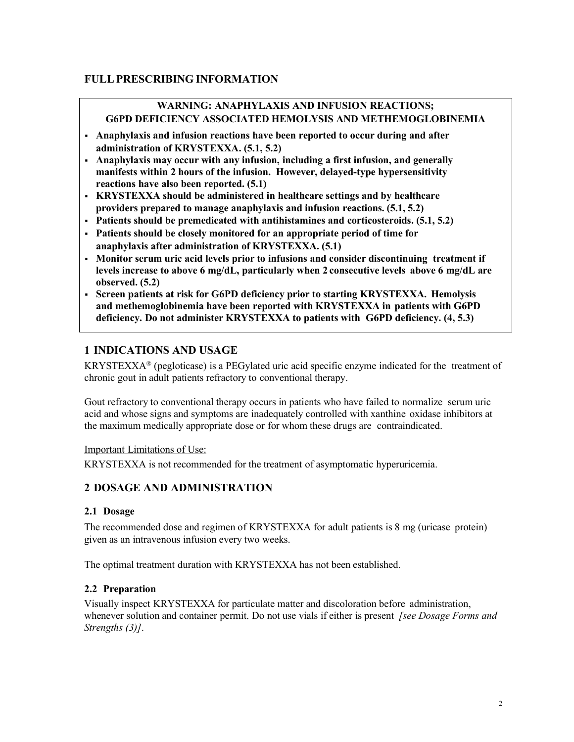# FULL PRESCRIBING INFORMATION

## WARNING: ANAPHYLAXIS AND INFUSION REACTIONS; G6PD DEFICIENCY ASSOCIATED HEMOLYSIS AND METHEMOGLOBINEMIA

- Anaphylaxis and infusion reactions have been reported to occur during and after administration of KRYSTEXXA. (5.1, 5.2)
- Anaphylaxis may occur with any infusion, including a first infusion, and generally manifests within 2 hours of the infusion. However, delayed-type hypersensitivity reactions have also been reported. (5.1)
- KRYSTEXXA should be administered in healthcare settings and by healthcare providers prepared to manage anaphylaxis and infusion reactions. (5.1, 5.2)
- Patients should be premedicated with antihistamines and corticosteroids. (5.1, 5.2)
- Patients should be closely monitored for an appropriate period of time for anaphylaxis after administration of KRYSTEXXA. (5.1)
- Monitor serum uric acid levels prior to infusions and consider discontinuing treatment if levels increase to above 6 mg/dL, particularly when 2 consecutive levels above 6 mg/dL are observed. (5.2)
- Screen patients at risk for G6PD deficiency prior to starting KRYSTEXXA. Hemolysis and methemoglobinemia have been reported with KRYSTEXXA in patients with G6PD deficiency. Do not administer KRYSTEXXA to patients with G6PD deficiency. (4, 5.3)

# 1 INDICATIONS AND USAGE

KRYSTEXXA® (pegloticase) is a PEGylated uric acid specific enzyme indicated for the treatment of chronic gout in adult patients refractory to conventional therapy.

Gout refractory to conventional therapy occurs in patients who have failed to normalize serum uric acid and whose signs and symptoms are inadequately controlled with xanthine oxidase inhibitors at the maximum medically appropriate dose or for whom these drugs are contraindicated.

#### Important Limitations of Use:

KRYSTEXXA is not recommended for the treatment of asymptomatic hyperuricemia.

# 2 DOSAGE AND ADMINISTRATION

## 2.1 Dosage

The recommended dose and regimen of KRYSTEXXA for adult patients is 8 mg (uricase protein) given as an intravenous infusion every two weeks.

The optimal treatment duration with KRYSTEXXA has not been established.

## 2.2 Preparation

Visually inspect KRYSTEXXA for particulate matter and discoloration before administration, whenever solution and container permit. Do not use vials if either is present *[see Dosage Forms and* Strengths (3).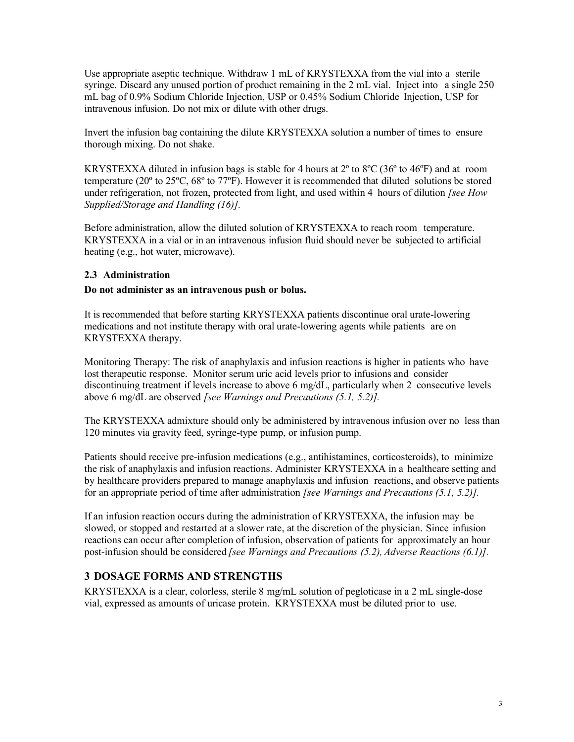Use appropriate aseptic technique. Withdraw 1 mL of KRYSTEXXA from the vial into a sterile syringe. Discard any unused portion of product remaining in the 2 mL vial. Inject into a single 250 mL bag of 0.9% Sodium Chloride Injection, USP or 0.45% Sodium Chloride Injection, USP for intravenous infusion. Do not mix or dilute with other drugs.

Invert the infusion bag containing the dilute KRYSTEXXA solution a number of times to ensure thorough mixing. Do not shake.

KRYSTEXXA diluted in infusion bags is stable for 4 hours at  $2^{\circ}$  to  $8^{\circ}C(36^{\circ}$  to  $46^{\circ}F)$  and at room temperature (20º to 25ºC, 68º to 77ºF). However it is recommended that diluted solutions be stored under refrigeration, not frozen, protected from light, and used within 4 hours of dilution *[see How* Supplied/Storage and Handling (16)].

Before administration, allow the diluted solution of KRYSTEXXA to reach room temperature. KRYSTEXXA in a vial or in an intravenous infusion fluid should never be subjected to artificial heating (e.g., hot water, microwave).

## 2.3 Administration

#### Do not administer as an intravenous push or bolus.

It is recommended that before starting KRYSTEXXA patients discontinue oral urate-lowering medications and not institute therapy with oral urate-lowering agents while patients are on KRYSTEXXA therapy.

Monitoring Therapy: The risk of anaphylaxis and infusion reactions is higher in patients who have lost therapeutic response. Monitor serum uric acid levels prior to infusions and consider discontinuing treatment if levels increase to above 6 mg/dL, particularly when 2 consecutive levels above 6 mg/dL are observed [see Warnings and Precautions  $(5.1, 5.2)$ ].

The KRYSTEXXA admixture should only be administered by intravenous infusion over no less than 120 minutes via gravity feed, syringe-type pump, or infusion pump.

Patients should receive pre-infusion medications (e.g., antihistamines, corticosteroids), to minimize the risk of anaphylaxis and infusion reactions. Administer KRYSTEXXA in a healthcare setting and by healthcare providers prepared to manage anaphylaxis and infusion reactions, and observe patients for an appropriate period of time after administration *[see Warnings and Precautions (5.1, 5.2)]*.

If an infusion reaction occurs during the administration of KRYSTEXXA, the infusion may be slowed, or stopped and restarted at a slower rate, at the discretion of the physician. Since infusion reactions can occur after completion of infusion, observation of patients for approximately an hour post-infusion should be considered [see Warnings and Precautions (5.2), Adverse Reactions (6.1)].

# 3 DOSAGE FORMS AND STRENGTHS

KRYSTEXXA is a clear, colorless, sterile 8 mg/mL solution of pegloticase in a 2 mL single-dose vial, expressed as amounts of uricase protein. KRYSTEXXA must be diluted prior to use.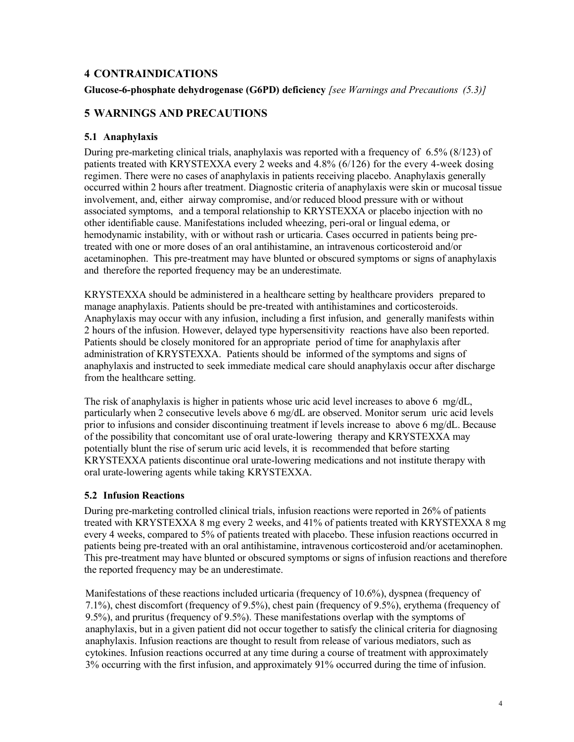## 4 CONTRAINDICATIONS

Glucose-6-phosphate dehydrogenase (G6PD) deficiency [see Warnings and Precautions (5.3)]

## 5 WARNINGS AND PRECAUTIONS

### 5.1 Anaphylaxis

During pre-marketing clinical trials, anaphylaxis was reported with a frequency of 6.5% (8/123) of patients treated with KRYSTEXXA every 2 weeks and 4.8% (6/126) for the every 4-week dosing regimen. There were no cases of anaphylaxis in patients receiving placebo. Anaphylaxis generally occurred within 2 hours after treatment. Diagnostic criteria of anaphylaxis were skin or mucosal tissue involvement, and, either airway compromise, and/or reduced blood pressure with or without associated symptoms, and a temporal relationship to KRYSTEXXA or placebo injection with no other identifiable cause. Manifestations included wheezing, peri-oral or lingual edema, or hemodynamic instability, with or without rash or urticaria. Cases occurred in patients being pretreated with one or more doses of an oral antihistamine, an intravenous corticosteroid and/or acetaminophen. This pre-treatment may have blunted or obscured symptoms or signs of anaphylaxis and therefore the reported frequency may be an underestimate.

KRYSTEXXA should be administered in a healthcare setting by healthcare providers prepared to manage anaphylaxis. Patients should be pre-treated with antihistamines and corticosteroids. Anaphylaxis may occur with any infusion, including a first infusion, and generally manifests within 2 hours of the infusion. However, delayed type hypersensitivity reactions have also been reported. Patients should be closely monitored for an appropriate period of time for anaphylaxis after administration of KRYSTEXXA. Patients should be informed of the symptoms and signs of anaphylaxis and instructed to seek immediate medical care should anaphylaxis occur after discharge from the healthcare setting.

The risk of anaphylaxis is higher in patients whose uric acid level increases to above 6 mg/dL, particularly when 2 consecutive levels above 6 mg/dL are observed. Monitor serum uric acid levels prior to infusions and consider discontinuing treatment if levels increase to above 6 mg/dL. Because of the possibility that concomitant use of oral urate-lowering therapy and KRYSTEXXA may potentially blunt the rise of serum uric acid levels, it is recommended that before starting KRYSTEXXA patients discontinue oral urate-lowering medications and not institute therapy with oral urate-lowering agents while taking KRYSTEXXA.

#### 5.2 Infusion Reactions

During pre-marketing controlled clinical trials, infusion reactions were reported in 26% of patients treated with KRYSTEXXA 8 mg every 2 weeks, and 41% of patients treated with KRYSTEXXA 8 mg every 4 weeks, compared to 5% of patients treated with placebo. These infusion reactions occurred in patients being pre-treated with an oral antihistamine, intravenous corticosteroid and/or acetaminophen. This pre-treatment may have blunted or obscured symptoms or signs of infusion reactions and therefore the reported frequency may be an underestimate.

Manifestations of these reactions included urticaria (frequency of 10.6%), dyspnea (frequency of 7.1%), chest discomfort (frequency of 9.5%), chest pain (frequency of 9.5%), erythema (frequency of 9.5%), and pruritus (frequency of 9.5%). These manifestations overlap with the symptoms of anaphylaxis, but in a given patient did not occur together to satisfy the clinical criteria for diagnosing anaphylaxis. Infusion reactions are thought to result from release of various mediators, such as cytokines. Infusion reactions occurred at any time during a course of treatment with approximately 3% occurring with the first infusion, and approximately 91% occurred during the time of infusion.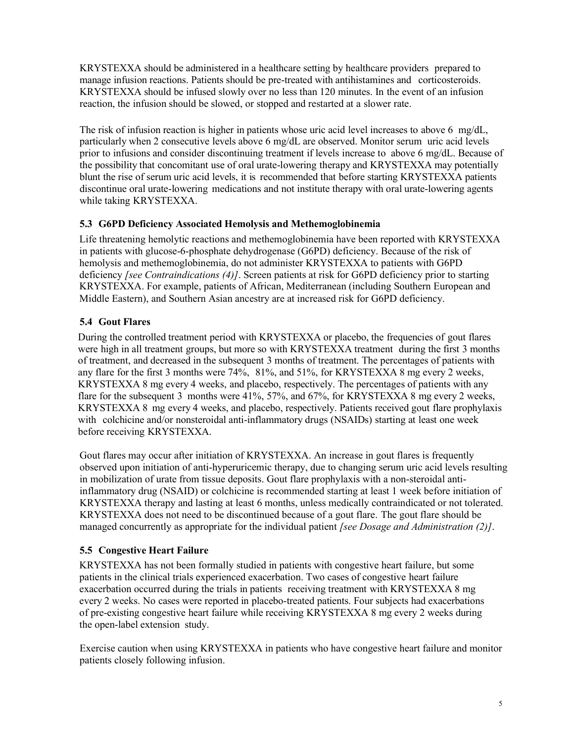KRYSTEXXA should be administered in a healthcare setting by healthcare providers prepared to manage infusion reactions. Patients should be pre-treated with antihistamines and corticosteroids. KRYSTEXXA should be infused slowly over no less than 120 minutes. In the event of an infusion reaction, the infusion should be slowed, or stopped and restarted at a slower rate.

The risk of infusion reaction is higher in patients whose uric acid level increases to above 6 mg/dL, particularly when 2 consecutive levels above 6 mg/dL are observed. Monitor serum uric acid levels prior to infusions and consider discontinuing treatment if levels increase to above 6 mg/dL. Because of the possibility that concomitant use of oral urate-lowering therapy and KRYSTEXXA may potentially blunt the rise of serum uric acid levels, it is recommended that before starting KRYSTEXXA patients discontinue oral urate-lowering medications and not institute therapy with oral urate-lowering agents while taking KRYSTEXXA.

## 5.3 G6PD Deficiency Associated Hemolysis and Methemoglobinemia

Life threatening hemolytic reactions and methemoglobinemia have been reported with KRYSTEXXA in patients with glucose-6-phosphate dehydrogenase (G6PD) deficiency. Because of the risk of hemolysis and methemoglobinemia, do not administer KRYSTEXXA to patients with G6PD deficiency *[see Contraindications (4)]*. Screen patients at risk for G6PD deficiency prior to starting KRYSTEXXA. For example, patients of African, Mediterranean (including Southern European and Middle Eastern), and Southern Asian ancestry are at increased risk for G6PD deficiency.

## 5.4 Gout Flares

During the controlled treatment period with KRYSTEXXA or placebo, the frequencies of gout flares were high in all treatment groups, but more so with KRYSTEXXA treatment during the first 3 months of treatment, and decreased in the subsequent 3 months of treatment. The percentages of patients with any flare for the first 3 months were 74%, 81%, and 51%, for KRYSTEXXA 8 mg every 2 weeks, KRYSTEXXA 8 mg every 4 weeks, and placebo, respectively. The percentages of patients with any flare for the subsequent 3 months were 41%, 57%, and 67%, for KRYSTEXXA 8 mg every 2 weeks, KRYSTEXXA 8 mg every 4 weeks, and placebo, respectively. Patients received gout flare prophylaxis with colchicine and/or nonsteroidal anti-inflammatory drugs (NSAIDs) starting at least one week before receiving KRYSTEXXA.

Gout flares may occur after initiation of KRYSTEXXA. An increase in gout flares is frequently observed upon initiation of anti-hyperuricemic therapy, due to changing serum uric acid levels resulting in mobilization of urate from tissue deposits. Gout flare prophylaxis with a non-steroidal antiinflammatory drug (NSAID) or colchicine is recommended starting at least 1 week before initiation of KRYSTEXXA therapy and lasting at least 6 months, unless medically contraindicated or not tolerated. KRYSTEXXA does not need to be discontinued because of a gout flare. The gout flare should be managed concurrently as appropriate for the individual patient *[see Dosage and Administration (2)]*.

## 5.5 Congestive Heart Failure

KRYSTEXXA has not been formally studied in patients with congestive heart failure, but some patients in the clinical trials experienced exacerbation. Two cases of congestive heart failure exacerbation occurred during the trials in patients receiving treatment with KRYSTEXXA 8 mg every 2 weeks. No cases were reported in placebo-treated patients. Four subjects had exacerbations of pre-existing congestive heart failure while receiving KRYSTEXXA 8 mg every 2 weeks during the open-label extension study.

Exercise caution when using KRYSTEXXA in patients who have congestive heart failure and monitor patients closely following infusion.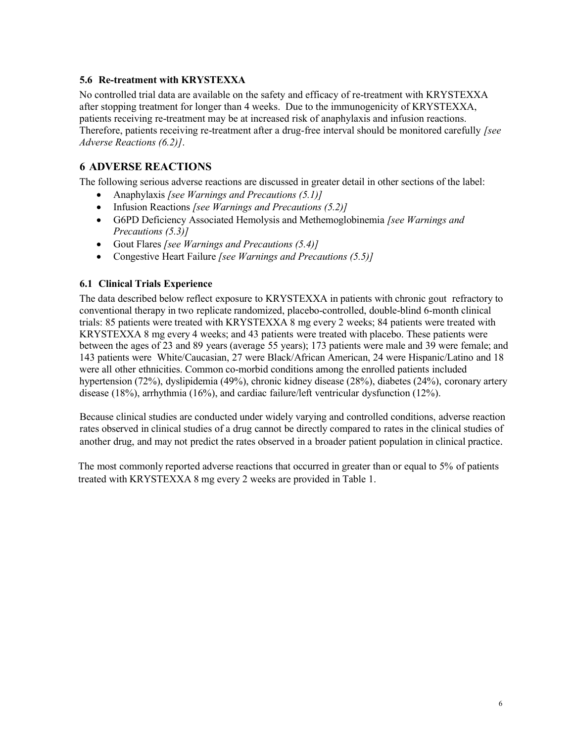### 5.6 Re-treatment with KRYSTEXXA

No controlled trial data are available on the safety and efficacy of re-treatment with KRYSTEXXA after stopping treatment for longer than 4 weeks. Due to the immunogenicity of KRYSTEXXA, patients receiving re-treatment may be at increased risk of anaphylaxis and infusion reactions. Therefore, patients receiving re-treatment after a drug-free interval should be monitored carefully *[see*] Adverse Reactions (6.2)].

# 6 ADVERSE REACTIONS

The following serious adverse reactions are discussed in greater detail in other sections of the label:

- Anaphylaxis *[see Warnings and Precautions (5.1)]*
- Infusion Reactions [see Warnings and Precautions (5.2)]
- G6PD Deficiency Associated Hemolysis and Methemoglobinemia [see Warnings and Precautions (5.3)]
- Gout Flares *[see Warnings and Precautions (5.4)]*
- Congestive Heart Failure [see Warnings and Precautions (5.5)]

## 6.1 Clinical Trials Experience

The data described below reflect exposure to KRYSTEXXA in patients with chronic gout refractory to conventional therapy in two replicate randomized, placebo-controlled, double-blind 6-month clinical trials: 85 patients were treated with KRYSTEXXA 8 mg every 2 weeks; 84 patients were treated with KRYSTEXXA 8 mg every 4 weeks; and 43 patients were treated with placebo. These patients were between the ages of 23 and 89 years (average 55 years); 173 patients were male and 39 were female; and 143 patients were White/Caucasian, 27 were Black/African American, 24 were Hispanic/Latino and 18 were all other ethnicities. Common co-morbid conditions among the enrolled patients included hypertension (72%), dyslipidemia (49%), chronic kidney disease (28%), diabetes (24%), coronary artery disease (18%), arrhythmia (16%), and cardiac failure/left ventricular dysfunction (12%).

Because clinical studies are conducted under widely varying and controlled conditions, adverse reaction rates observed in clinical studies of a drug cannot be directly compared to rates in the clinical studies of another drug, and may not predict the rates observed in a broader patient population in clinical practice.

The most commonly reported adverse reactions that occurred in greater than or equal to 5% of patients treated with KRYSTEXXA 8 mg every 2 weeks are provided in Table 1.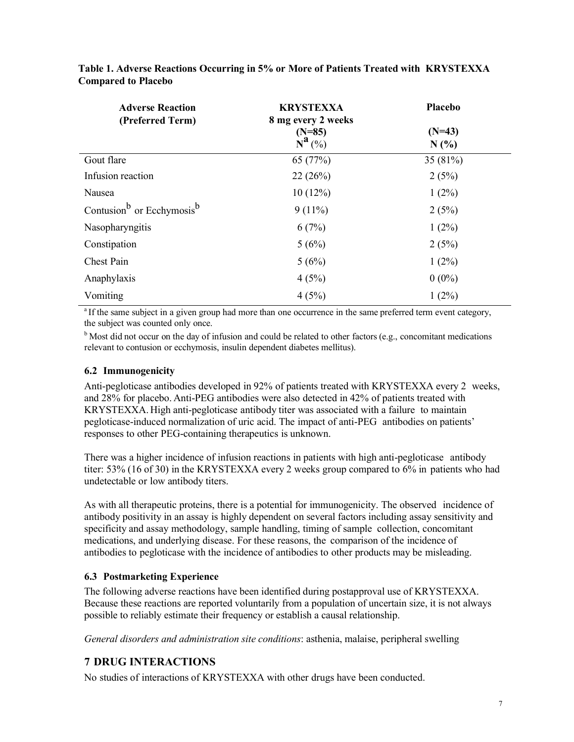| <b>Adverse Reaction</b><br>(Preferred Term)       | <b>KRYSTEXXA</b><br>8 mg every 2 weeks | <b>Placebo</b>   |  |
|---------------------------------------------------|----------------------------------------|------------------|--|
|                                                   | $(N=85)$<br>$N^{\mathbf{a}}$ (%)       | $(N=43)$<br>N(%) |  |
| Gout flare                                        | 65 (77%)                               | 35 (81%)         |  |
| Infusion reaction                                 | 22(26%)                                | 2(5%)            |  |
| Nausea                                            | 10(12%)                                | $1(2\%)$         |  |
| Contusion <sup>b</sup> or Ecchymosis <sup>b</sup> | $9(11\%)$                              | 2(5%)            |  |
| Nasopharyngitis                                   | 6(7%)                                  | $1(2\%)$         |  |
| Constipation                                      | 5(6%)                                  | 2(5%)            |  |
| Chest Pain                                        | 5(6%)                                  | $1(2\%)$         |  |
| Anaphylaxis                                       | 4(5%)                                  | $0(0\%)$         |  |
| Vomiting                                          | 4(5%)                                  | $1(2\%)$         |  |

Table 1. Adverse Reactions Occurring in 5% or More of Patients Treated with KRYSTEXXA Compared to Placebo

<sup>a</sup>If the same subject in a given group had more than one occurrence in the same preferred term event category, the subject was counted only once.

 $<sup>b</sup>$  Most did not occur on the day of infusion and could be related to other factors (e.g., concomitant medications</sup> relevant to contusion or ecchymosis, insulin dependent diabetes mellitus).

### 6.2 Immunogenicity

Anti-pegloticase antibodies developed in 92% of patients treated with KRYSTEXXA every 2 weeks, and 28% for placebo. Anti-PEG antibodies were also detected in 42% of patients treated with KRYSTEXXA. High anti-pegloticase antibody titer was associated with a failure to maintain pegloticase-induced normalization of uric acid. The impact of anti-PEG antibodies on patients' responses to other PEG-containing therapeutics is unknown.

There was a higher incidence of infusion reactions in patients with high anti-pegloticase antibody titer: 53% (16 of 30) in the KRYSTEXXA every 2 weeks group compared to 6% in patients who had undetectable or low antibody titers.

As with all therapeutic proteins, there is a potential for immunogenicity. The observed incidence of antibody positivity in an assay is highly dependent on several factors including assay sensitivity and specificity and assay methodology, sample handling, timing of sample collection, concomitant medications, and underlying disease. For these reasons, the comparison of the incidence of antibodies to pegloticase with the incidence of antibodies to other products may be misleading.

#### 6.3 Postmarketing Experience

The following adverse reactions have been identified during postapproval use of KRYSTEXXA. Because these reactions are reported voluntarily from a population of uncertain size, it is not always possible to reliably estimate their frequency or establish a causal relationship.

General disorders and administration site conditions: asthenia, malaise, peripheral swelling

# 7 DRUG INTERACTIONS

No studies of interactions of KRYSTEXXA with other drugs have been conducted.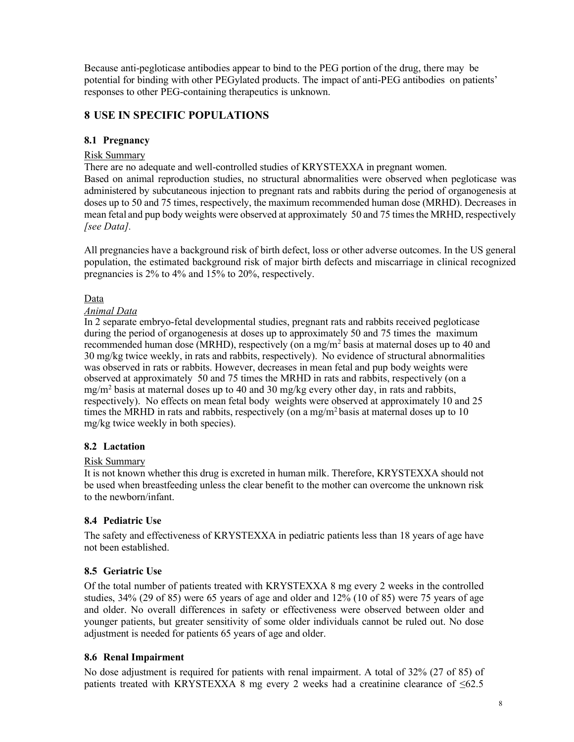Because anti-pegloticase antibodies appear to bind to the PEG portion of the drug, there may be potential for binding with other PEGylated products. The impact of anti-PEG antibodies on patients' responses to other PEG-containing therapeutics is unknown.

## 8 USE IN SPECIFIC POPULATIONS

#### 8.1 Pregnancy

#### Risk Summary

There are no adequate and well-controlled studies of KRYSTEXXA in pregnant women.

Based on animal reproduction studies, no structural abnormalities were observed when pegloticase was administered by subcutaneous injection to pregnant rats and rabbits during the period of organogenesis at doses up to 50 and 75 times, respectively, the maximum recommended human dose (MRHD). Decreases in mean fetal and pup body weights were observed at approximately 50 and 75 times the MRHD, respectively [see Data].

All pregnancies have a background risk of birth defect, loss or other adverse outcomes. In the US general population, the estimated background risk of major birth defects and miscarriage in clinical recognized pregnancies is 2% to 4% and 15% to 20%, respectively.

### Data

#### Animal Data

In 2 separate embryo-fetal developmental studies, pregnant rats and rabbits received pegloticase during the period of organogenesis at doses up to approximately 50 and 75 times the maximum recommended human dose (MRHD), respectively (on a mg/m<sup>2</sup> basis at maternal doses up to 40 and 30 mg/kg twice weekly, in rats and rabbits, respectively). No evidence of structural abnormalities was observed in rats or rabbits. However, decreases in mean fetal and pup body weights were observed at approximately 50 and 75 times the MRHD in rats and rabbits, respectively (on a  $mg/m<sup>2</sup>$  basis at maternal doses up to 40 and 30 mg/kg every other day, in rats and rabbits, respectively). No effects on mean fetal body weights were observed at approximately 10 and 25 times the MRHD in rats and rabbits, respectively (on a mg/m<sup>2</sup> basis at maternal doses up to 10 mg/kg twice weekly in both species).

## 8.2 Lactation

#### Risk Summary

It is not known whether this drug is excreted in human milk. Therefore, KRYSTEXXA should not be used when breastfeeding unless the clear benefit to the mother can overcome the unknown risk to the newborn/infant.

## 8.4 Pediatric Use

The safety and effectiveness of KRYSTEXXA in pediatric patients less than 18 years of age have not been established.

## 8.5 Geriatric Use

Of the total number of patients treated with KRYSTEXXA 8 mg every 2 weeks in the controlled studies, 34% (29 of 85) were 65 years of age and older and 12% (10 of 85) were 75 years of age and older. No overall differences in safety or effectiveness were observed between older and younger patients, but greater sensitivity of some older individuals cannot be ruled out. No dose adjustment is needed for patients 65 years of age and older.

## 8.6 Renal Impairment

No dose adjustment is required for patients with renal impairment. A total of 32% (27 of 85) of patients treated with KRYSTEXXA 8 mg every 2 weeks had a creatinine clearance of  $\leq 62.5$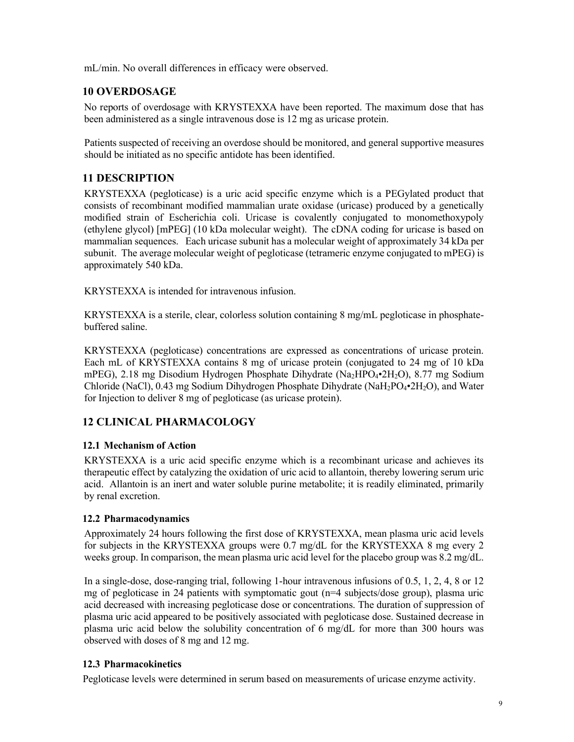mL/min. No overall differences in efficacy were observed.

# 10 OVERDOSAGE

No reports of overdosage with KRYSTEXXA have been reported. The maximum dose that has been administered as a single intravenous dose is 12 mg as uricase protein.

Patients suspected of receiving an overdose should be monitored, and general supportive measures should be initiated as no specific antidote has been identified.

# 11 DESCRIPTION

KRYSTEXXA (pegloticase) is a uric acid specific enzyme which is a PEGylated product that consists of recombinant modified mammalian urate oxidase (uricase) produced by a genetically modified strain of Escherichia coli. Uricase is covalently conjugated to monomethoxypoly (ethylene glycol) [mPEG] (10 kDa molecular weight). The cDNA coding for uricase is based on mammalian sequences. Each uricase subunit has a molecular weight of approximately 34 kDa per subunit. The average molecular weight of pegloticase (tetrameric enzyme conjugated to mPEG) is approximately 540 kDa.

KRYSTEXXA is intended for intravenous infusion.

KRYSTEXXA is a sterile, clear, colorless solution containing 8 mg/mL pegloticase in phosphatebuffered saline.

KRYSTEXXA (pegloticase) concentrations are expressed as concentrations of uricase protein. Each mL of KRYSTEXXA contains 8 mg of uricase protein (conjugated to 24 mg of 10 kDa mPEG), 2.18 mg Disodium Hydrogen Phosphate Dihydrate (Na2HPO4•2H2O), 8.77 mg Sodium Chloride (NaCl), 0.43 mg Sodium Dihydrogen Phosphate Dihydrate (NaH<sub>2</sub>PO<sub>4</sub>•2H<sub>2</sub>O), and Water for Injection to deliver 8 mg of pegloticase (as uricase protein).

# 12 CLINICAL PHARMACOLOGY

## 12.1 Mechanism of Action

KRYSTEXXA is a uric acid specific enzyme which is a recombinant uricase and achieves its therapeutic effect by catalyzing the oxidation of uric acid to allantoin, thereby lowering serum uric acid. Allantoin is an inert and water soluble purine metabolite; it is readily eliminated, primarily by renal excretion.

#### 12.2 Pharmacodynamics

Approximately 24 hours following the first dose of KRYSTEXXA, mean plasma uric acid levels for subjects in the KRYSTEXXA groups were 0.7 mg/dL for the KRYSTEXXA 8 mg every 2 weeks group. In comparison, the mean plasma uric acid level for the placebo group was 8.2 mg/dL.

In a single-dose, dose-ranging trial, following 1-hour intravenous infusions of 0.5, 1, 2, 4, 8 or 12 mg of pegloticase in 24 patients with symptomatic gout (n=4 subjects/dose group), plasma uric acid decreased with increasing pegloticase dose or concentrations. The duration of suppression of plasma uric acid appeared to be positively associated with pegloticase dose. Sustained decrease in plasma uric acid below the solubility concentration of 6 mg/dL for more than 300 hours was observed with doses of 8 mg and 12 mg.

#### 12.3 Pharmacokinetics

Pegloticase levels were determined in serum based on measurements of uricase enzyme activity.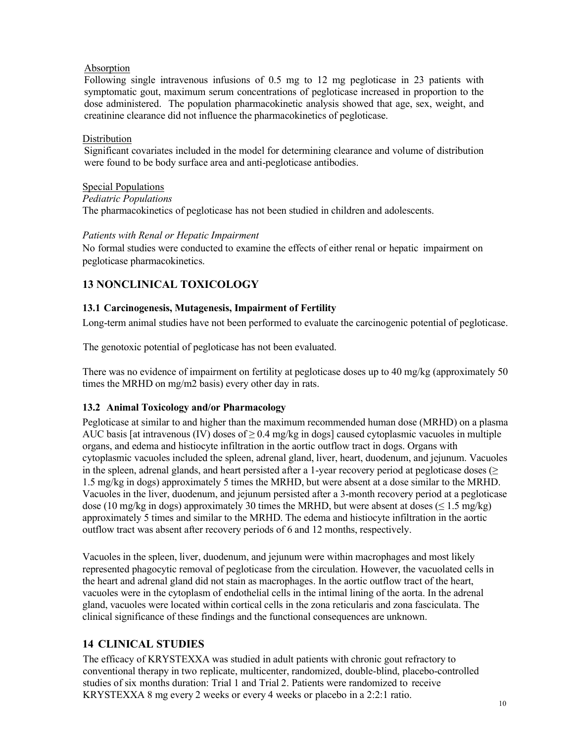#### Absorption

Following single intravenous infusions of 0.5 mg to 12 mg pegloticase in 23 patients with symptomatic gout, maximum serum concentrations of pegloticase increased in proportion to the dose administered. The population pharmacokinetic analysis showed that age, sex, weight, and creatinine clearance did not influence the pharmacokinetics of pegloticase.

#### Distribution

Significant covariates included in the model for determining clearance and volume of distribution were found to be body surface area and anti-pegloticase antibodies.

#### Special Populations

Pediatric Populations

The pharmacokinetics of pegloticase has not been studied in children and adolescents.

#### Patients with Renal or Hepatic Impairment

No formal studies were conducted to examine the effects of either renal or hepatic impairment on pegloticase pharmacokinetics.

## 13 NONCLINICAL TOXICOLOGY

#### 13.1 Carcinogenesis, Mutagenesis, Impairment of Fertility

Long-term animal studies have not been performed to evaluate the carcinogenic potential of pegloticase.

The genotoxic potential of pegloticase has not been evaluated.

There was no evidence of impairment on fertility at pegloticase doses up to 40 mg/kg (approximately 50 times the MRHD on mg/m2 basis) every other day in rats.

#### 13.2 Animal Toxicology and/or Pharmacology

Pegloticase at similar to and higher than the maximum recommended human dose (MRHD) on a plasma AUC basis [at intravenous (IV) doses of  $\geq 0.4$  mg/kg in dogs] caused cytoplasmic vacuoles in multiple organs, and edema and histiocyte infiltration in the aortic outflow tract in dogs. Organs with cytoplasmic vacuoles included the spleen, adrenal gland, liver, heart, duodenum, and jejunum. Vacuoles in the spleen, adrenal glands, and heart persisted after a 1-year recovery period at pegloticase doses ( $\geq$ 1.5 mg/kg in dogs) approximately 5 times the MRHD, but were absent at a dose similar to the MRHD. Vacuoles in the liver, duodenum, and jejunum persisted after a 3-month recovery period at a pegloticase dose (10 mg/kg in dogs) approximately 30 times the MRHD, but were absent at doses ( $\leq 1.5$  mg/kg) approximately 5 times and similar to the MRHD. The edema and histiocyte infiltration in the aortic outflow tract was absent after recovery periods of 6 and 12 months, respectively.

Vacuoles in the spleen, liver, duodenum, and jejunum were within macrophages and most likely represented phagocytic removal of pegloticase from the circulation. However, the vacuolated cells in the heart and adrenal gland did not stain as macrophages. In the aortic outflow tract of the heart, vacuoles were in the cytoplasm of endothelial cells in the intimal lining of the aorta. In the adrenal gland, vacuoles were located within cortical cells in the zona reticularis and zona fasciculata. The clinical significance of these findings and the functional consequences are unknown.

# 14 CLINICAL STUDIES

The efficacy of KRYSTEXXA was studied in adult patients with chronic gout refractory to conventional therapy in two replicate, multicenter, randomized, double-blind, placebo-controlled studies of six months duration: Trial 1 and Trial 2. Patients were randomized to receive KRYSTEXXA 8 mg every 2 weeks or every 4 weeks or placebo in a 2:2:1 ratio.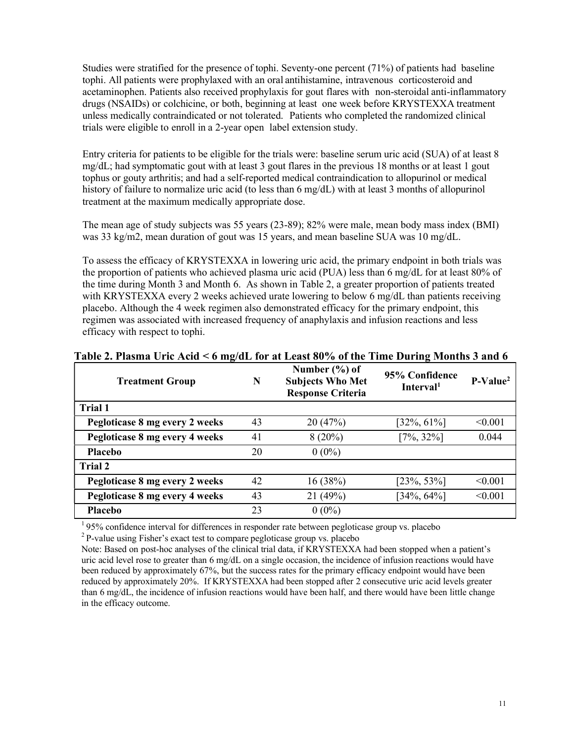Studies were stratified for the presence of tophi. Seventy-one percent (71%) of patients had baseline tophi. All patients were prophylaxed with an oral antihistamine, intravenous corticosteroid and acetaminophen. Patients also received prophylaxis for gout flares with non-steroidal anti-inflammatory drugs (NSAIDs) or colchicine, or both, beginning at least one week before KRYSTEXXA treatment unless medically contraindicated or not tolerated. Patients who completed the randomized clinical trials were eligible to enroll in a 2-year open label extension study.

Entry criteria for patients to be eligible for the trials were: baseline serum uric acid (SUA) of at least 8 mg/dL; had symptomatic gout with at least 3 gout flares in the previous 18 months or at least 1 gout tophus or gouty arthritis; and had a self-reported medical contraindication to allopurinol or medical history of failure to normalize uric acid (to less than 6 mg/dL) with at least 3 months of allopurinol treatment at the maximum medically appropriate dose.

The mean age of study subjects was 55 years (23-89); 82% were male, mean body mass index (BMI) was 33 kg/m2, mean duration of gout was 15 years, and mean baseline SUA was 10 mg/dL.

To assess the efficacy of KRYSTEXXA in lowering uric acid, the primary endpoint in both trials was the proportion of patients who achieved plasma uric acid (PUA) less than 6 mg/dL for at least 80% of the time during Month 3 and Month 6. As shown in Table 2, a greater proportion of patients treated with KRYSTEXXA every 2 weeks achieved urate lowering to below 6 mg/dL than patients receiving placebo. Although the 4 week regimen also demonstrated efficacy for the primary endpoint, this regimen was associated with increased frequency of anaphylaxis and infusion reactions and less efficacy with respect to tophi.

| <b>Treatment Group</b>         | N  | Number $(\% )$ of<br><b>Subjects Who Met</b><br><b>Response Criteria</b> | 95% Confidence<br>Interval <sup>1</sup> | $P-Value2$ |
|--------------------------------|----|--------------------------------------------------------------------------|-----------------------------------------|------------|
| Trial 1                        |    |                                                                          |                                         |            |
| Pegloticase 8 mg every 2 weeks | 43 | 20(47%)                                                                  | $[32\%, 61\%]$                          | < 0.001    |
| Pegloticase 8 mg every 4 weeks | 41 | $8(20\%)$                                                                | $[7\%, 32\%]$                           | 0.044      |
| <b>Placebo</b>                 | 20 | $0(0\%)$                                                                 |                                         |            |
| Trial 2                        |    |                                                                          |                                         |            |
| Pegloticase 8 mg every 2 weeks | 42 | 16(38%)                                                                  | $[23\%, 53\%]$                          | < 0.001    |
| Pegloticase 8 mg every 4 weeks | 43 | 21 (49%)                                                                 | $[34\%, 64\%]$                          | < 0.001    |
| <b>Placebo</b>                 | 23 | $0(0\%)$                                                                 |                                         |            |

#### Table 2. Plasma Uric Acid < 6 mg/dL for at Least 80% of the Time During Months 3 and 6

 $195\%$  confidence interval for differences in responder rate between pegloticase group vs. placebo

 $2^2$  P-value using Fisher's exact test to compare pegloticase group vs. placebo

Note: Based on post-hoc analyses of the clinical trial data, if KRYSTEXXA had been stopped when a patient's uric acid level rose to greater than 6 mg/dL on a single occasion, the incidence of infusion reactions would have been reduced by approximately 67%, but the success rates for the primary efficacy endpoint would have been reduced by approximately 20%. If KRYSTEXXA had been stopped after 2 consecutive uric acid levels greater than 6 mg/dL, the incidence of infusion reactions would have been half, and there would have been little change in the efficacy outcome.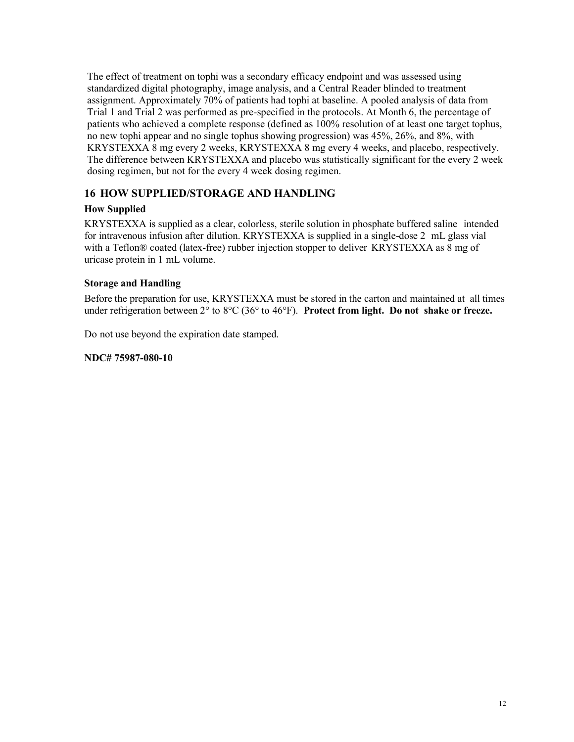The effect of treatment on tophi was a secondary efficacy endpoint and was assessed using standardized digital photography, image analysis, and a Central Reader blinded to treatment assignment. Approximately 70% of patients had tophi at baseline. A pooled analysis of data from Trial 1 and Trial 2 was performed as pre-specified in the protocols. At Month 6, the percentage of patients who achieved a complete response (defined as 100% resolution of at least one target tophus, no new tophi appear and no single tophus showing progression) was 45%, 26%, and 8%, with KRYSTEXXA 8 mg every 2 weeks, KRYSTEXXA 8 mg every 4 weeks, and placebo, respectively. The difference between KRYSTEXXA and placebo was statistically significant for the every 2 week dosing regimen, but not for the every 4 week dosing regimen.

## 16 HOW SUPPLIED/STORAGE AND HANDLING

### How Supplied

KRYSTEXXA is supplied as a clear, colorless, sterile solution in phosphate buffered saline intended for intravenous infusion after dilution. KRYSTEXXA is supplied in a single-dose 2 mL glass vial with a Teflon® coated (latex-free) rubber injection stopper to deliver KRYSTEXXA as 8 mg of uricase protein in 1 mL volume.

### Storage and Handling

Before the preparation for use, KRYSTEXXA must be stored in the carton and maintained at all times under refrigeration between  $2^{\circ}$  to  $8^{\circ}C$  (36° to 46°F). Protect from light. Do not shake or freeze.

Do not use beyond the expiration date stamped.

NDC# 75987-080-10